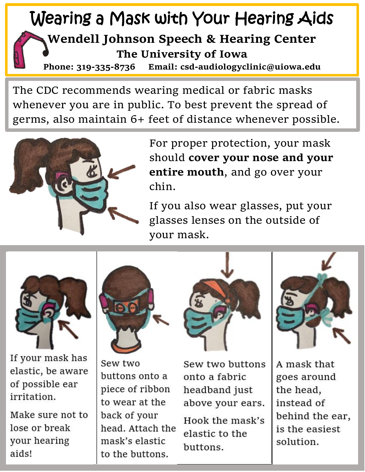## Wearing a Mask with Your Hearing Aids **Wendell Johnson Speech & Hearing Center The University of Iowa**

**Phone: 319-335-8736 Email: csd-audiologyclinic@uiowa.edu**

The CDC recommends wearing medical or fabric masks whenever you are in public. To best prevent the spread of germs, also maintain 6+ feet of distance whenever possible.



For proper protection, your mask should **cover your nose and your entire mouth**, and go over your chin.

If you also wear glasses, put your glasses lenses on the outside of your mask.



If your mask has<br>elastic, be aware of possible ear irritation. minution.

Make sure not to<br>lose or break  $\frac{1}{2}$ your near



Sew two buttons onto a piece of ribbon to wear at the back of your head. Attach the mask's elastic to the buttons.



Sew two buttons onto a fabric headband just above your ears. Hook the mask's elastic to the buttons.  $\overline{\phantom{a}}$ 



A mask that goes around the head, instead of behind the ear, is the easiest solution.